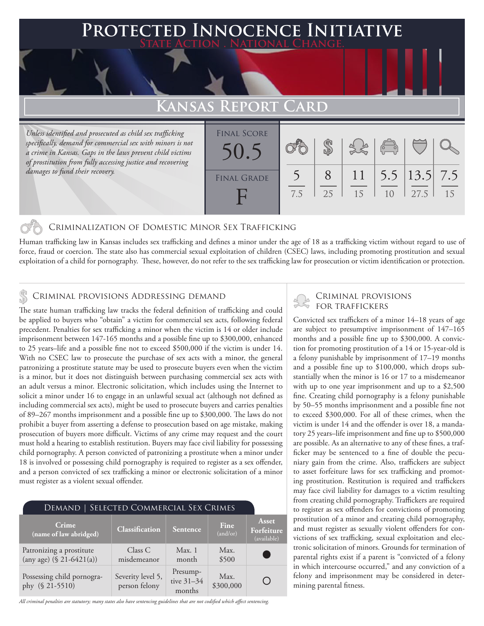### **Protected Innocence Initiative State Action . National Change.**

## **Kansas Report Card**

*Unless identified and prosecuted as child sex trafficking specifically, demand for commercial sex with minors is not a crime in Kansas. Gaps in the laws prevent child victims of prostitution from fully accessing justice and recovering damages to fund their recovery.*

| <b>FINAL SCORE</b><br>50.5 |     |    |          | $\begin{pmatrix} 0 & 0 \\ 0 & 0 \end{pmatrix}$ |                                                |    |
|----------------------------|-----|----|----------|------------------------------------------------|------------------------------------------------|----|
| <b>FINAL GRADE</b>         | 7.5 | 25 | 11<br>15 | 10                                             | $\vert 5.5 \vert 13.5 \vert 7.5 \vert$<br>27.5 | 15 |

### Criminalization of Domestic Minor Sex Trafficking

Human trafficking law in Kansas includes sex trafficking and defines a minor under the age of 18 as a trafficking victim without regard to use of force, fraud or coercion. The state also has commercial sexual exploitation of children (CSEC) laws, including promoting prostitution and sexual exploitation of a child for pornography. These, however, do not refer to the sex trafficking law for prosecution or victim identification or protection.

## CRIMINAL PROVISIONS ADDRESSING DEMAND<br>FOR TRAFFICKERS & CRIMINAL PROVISIONS ADDRESSING DEMAND

The state human trafficking law tracks the federal definition of trafficking and could be applied to buyers who "obtain" a victim for commercial sex acts, following federal precedent. Penalties for sex trafficking a minor when the victim is 14 or older include imprisonment between 147-165 months and a possible fine up to \$300,000, enhanced to 25 years–life and a possible fine not to exceed \$500,000 if the victim is under 14. With no CSEC law to prosecute the purchase of sex acts with a minor, the general patronizing a prostitute statute may be used to prosecute buyers even when the victim is a minor, but it does not distinguish between purchasing commercial sex acts with an adult versus a minor. Electronic solicitation, which includes using the Internet to solicit a minor under 16 to engage in an unlawful sexual act (although not defined as including commercial sex acts), might be used to prosecute buyers and carries penalties of 89–267 months imprisonment and a possible fine up to \$300,000. The laws do not prohibit a buyer from asserting a defense to prosecution based on age mistake, making prosecution of buyers more difficult. Victims of any crime may request and the court must hold a hearing to establish restitution. Buyers may face civil liability for possessing child pornography. A person convicted of patronizing a prostitute when a minor under 18 is involved or possessing child pornography is required to register as a sex offender, and a person convicted of sex trafficking a minor or electronic solicitation of a minor must register as a violent sexual offender.

| DEMAND   SELECTED COMMERCIAL SEX CRIMES                 |                                    |                                  |                   |                                    |  |  |  |  |
|---------------------------------------------------------|------------------------------------|----------------------------------|-------------------|------------------------------------|--|--|--|--|
| Crime.<br>$\sqrt{2}$ (name of law abridged)             | Classification                     | Sentence                         | Fine<br>(and/or)  | Asset<br>Forfeiture<br>(available) |  |  |  |  |
| Patronizing a prostitute<br>(any age) $(\$ 21-6421(a))$ | Class C<br>misdemeanor             | Max.1<br>month                   | Max.<br>\$500     | C.                                 |  |  |  |  |
| Possessing child pornogra-<br>phy (§ 21-5510)           | Severity level 5,<br>person felony | Presump-<br>tive 31-34<br>months | Max.<br>\$300,000 |                                    |  |  |  |  |

*All criminal penalties are statutory; many states also have sentencing guidelines that are not codified which affect sentencing.* 

# Criminal provisions

Convicted sex traffickers of a minor 14–18 years of age are subject to presumptive imprisonment of 147–165 months and a possible fine up to \$300,000. A conviction for promoting prostitution of a 14 or 15-year-old is a felony punishable by imprisonment of 17–19 months and a possible fine up to \$100,000, which drops substantially when the minor is 16 or 17 to a misdemeanor with up to one year imprisonment and up to a \$2,500 fine. Creating child pornography is a felony punishable by 50–55 months imprisonment and a possible fine not to exceed \$300,000. For all of these crimes, when the victim is under 14 and the offender is over 18, a mandatory 25 years–life imprisonment and fine up to \$500,000 are possible. As an alternative to any of these fines, a trafficker may be sentenced to a fine of double the pecuniary gain from the crime. Also, traffickers are subject to asset forfeiture laws for sex trafficking and promoting prostitution. Restitution is required and traffickers may face civil liability for damages to a victim resulting from creating child pornography. Traffickers are required to register as sex offenders for convictions of promoting prostitution of a minor and creating child pornography, and must register as sexually violent offenders for convictions of sex trafficking, sexual exploitation and electronic solicitation of minors. Grounds for termination of parental rights exist if a parent is "convicted of a felony in which intercourse occurred," and any conviction of a felony and imprisonment may be considered in determining parental fitness.